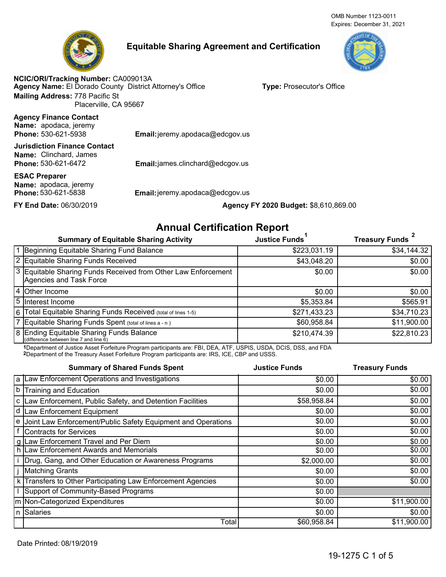# **Equitable Sharing Agreement and Certification**

**Agency Name:** El Dorado County District Attorney's Office **NCIC/ORI/Tracking Number:** CA009013A **Mailing Address:** 778 Pacific St Placerville, CA 95667

**Type:** Prosecutor's Office

**Agency Finance Contact Phone: Name:** apodaca, jeremy

**Phone: 530-621-6472 Name:** Clinchard, James **Jurisdiction Finance Contact**

**Name:** apodaca, jeremy **ESAC Preparer**

**Email:** jeremy.apodaca@edcgov.us

Email:james.clinchard@edcgov.us

**Phone:** 530-621-5838 **Email:**jeremy.apodaca@edcgov.us

**FY End Date:** 06/30/2019 **Agency FY 2020 Budget:** \$8,610,869.00

## **Annual Certification Report**

| <b>Summary of Equitable Sharing Activity</b>                                             | <b>Justice Funds</b> | <b>Treasury Funds</b> |
|------------------------------------------------------------------------------------------|----------------------|-----------------------|
| 1 Beginning Equitable Sharing Fund Balance                                               | \$223,031.19         | \$34,144.32           |
| 2 Equitable Sharing Funds Received                                                       | \$43,048.20          | \$0.00                |
| 3 Equitable Sharing Funds Received from Other Law Enforcement<br>Agencies and Task Force | \$0.00               | \$0.00                |
| 4 Other Income                                                                           | \$0.00               | \$0.00                |
| 5 Interest Income                                                                        | \$5,353.84           | \$565.91              |
| 6 Total Equitable Sharing Funds Received (total of lines 1-5)                            | \$271,433.23         | \$34,710.23           |
| 7 Equitable Sharing Funds Spent (total of lines a - n)                                   | \$60,958.84          | \$11,900.00           |
| 8 Ending Equitable Sharing Funds Balance<br>(difference between line 7 and line 6)       | \$210,474.39         | \$22,810.23           |

1Department of Justice Asset Forfeiture Program participants are: FBI, DEA, ATF, USPIS, USDA, DCIS, DSS, and FDA 2Department of the Treasury Asset Forfeiture Program participants are: IRS, ICE, CBP and USSS.

**Summary of Shared Funds Spent** Law Enforcement Operations and Investigations Law Enforcement, Public Safety, and Detention Facilities Training and Education Law Enforcement Equipment Joint Law Enforcement/Public Safety Equipment and Operations Contracts for Services Law Enforcement Travel and Per Diem Law Enforcement Awards and Memorials Drug, Gang, and Other Education or Awareness Programs Matching Grants Transfers to Other Participating Law Enforcement Agencies Support of Community-Based Programs Non-Categorized Expenditures Salaries **Total Justice Funds Treasury Funds** \$0.00 \$0.00  $$0.00$   $$0.00$ \$58,958.84 \$0.00  $$0.00$   $$0.00$  $$0.00$   $$0.00$  $$0.00$   $$0.00$  $$0.00$  \$0.00  $$0.00$   $$0.00$  $$2,000.00$  \$0.00  $$0.00$   $$0.00$  $$0.00$  \$0.00 \$0.00  $$0.00$   $$11,900.00$  $$0.00$  \$0.00 \$60,958.84 \$11,900.00 a b c d e f g h i j k l m n

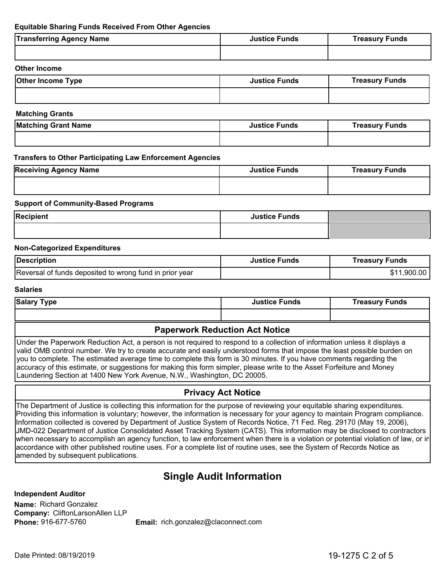#### **Equitable Sharing Funds Received From Other Agencies**

| <b>Transferring Agency Name</b> | <b>Justice Funds</b> | <b>Treasury Funds</b> |
|---------------------------------|----------------------|-----------------------|
|                                 |                      |                       |
|                                 |                      |                       |

#### **Other Income**

| <b>Other Income Type</b> | <b>Justice Funds</b> | <b>Treasury Funds</b> |
|--------------------------|----------------------|-----------------------|
|                          |                      |                       |

#### **Matching Grants**

| <b>Matching Grant Name</b> | <b>Justice Funds</b> | <b>Treasury Funds</b> |
|----------------------------|----------------------|-----------------------|
|                            |                      |                       |

#### **Transfers to Other Participating Law Enforcement Agencies**

| <b>Receiving Agency Name</b> | <b>Justice Funds</b> | <b>Treasury Funds</b> |
|------------------------------|----------------------|-----------------------|
|                              |                      |                       |

#### **Support of Community-Based Programs**

| <b>Recipient</b> | <b>Justice Funds</b> |  |
|------------------|----------------------|--|
|                  |                      |  |

#### **Non-Categorized Expenditures**

| Description                                             | <b>Justice Funds</b> | Treasury Funds |
|---------------------------------------------------------|----------------------|----------------|
| Reversal of funds deposited to wrong fund in prior year |                      | \$11,900.00    |

#### **Salaries**

| <b>Salary Type</b> | <b>Justice Funds</b> | <b>Treasury Funds</b> |
|--------------------|----------------------|-----------------------|
|                    |                      |                       |

## **Paperwork Reduction Act Notice**

Under the Paperwork Reduction Act, a person is not required to respond to a collection of information unless it displays a valid OMB control number. We try to create accurate and easily understood forms that impose the least possible burden on you to complete. The estimated average time to complete this form is 30 minutes. If you have comments regarding the accuracy of this estimate, or suggestions for making this form simpler, please write to the Asset Forfeiture and Money Laundering Section at 1400 New York Avenue, N.W., Washington, DC 20005.

## **Privacy Act Notice**

The Department of Justice is collecting this information for the purpose of reviewing your equitable sharing expenditures. Providing this information is voluntary; however, the information is necessary for your agency to maintain Program compliance. Information collected is covered by Department of Justice System of Records Notice, 71 Fed. Reg. 29170 (May 19, 2006), JMD-022 Department of Justice Consolidated Asset Tracking System (CATS). This information may be disclosed to contractors when necessary to accomplish an agency function, to law enforcement when there is a violation or potential violation of law, or in accordance with other published routine uses. For a complete list of routine uses, see the System of Records Notice as amended by subsequent publications.

## **Single Audit Information**

**Company:** CliftonLarsonAllen LLP **Name:** Richard Gonzalez **Independent Auditor Phone:**

Email: rich.gonzalez@claconnect.com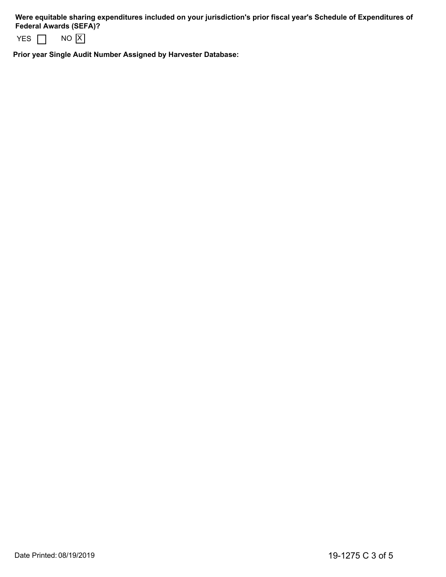**Were equitable sharing expenditures included on your jurisdiction's prior fiscal year's Schedule of Expenditures of Federal Awards (SEFA)?** 

|  | IX I<br>NΩ |  |
|--|------------|--|
|--|------------|--|

**Prior year Single Audit Number Assigned by Harvester Database:**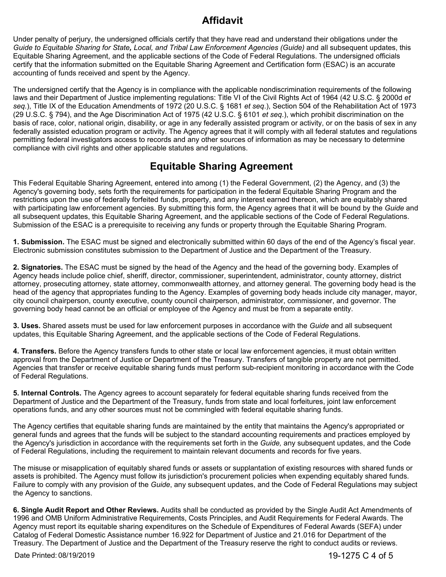# **Affidavit**

Under penalty of perjury, the undersigned officials certify that they have read and understand their obligations under the *Guide to Equitable Sharing for State, Local, and Tribal Law Enforcement Agencies (Guide)* and all subsequent updates, this Equitable Sharing Agreement, and the applicable sections of the Code of Federal Regulations. The undersigned officials certify that the information submitted on the Equitable Sharing Agreement and Certification form (ESAC) is an accurate accounting of funds received and spent by the Agency.

The undersigned certify that the Agency is in compliance with the applicable nondiscrimination requirements of the following laws and their Department of Justice implementing regulations: Title VI of the Civil Rights Act of 1964 (42 U.S.C. § 2000d *et seq.*), Title IX of the Education Amendments of 1972 (20 U.S.C. § 1681 *et seq*.), Section 504 of the Rehabilitation Act of 1973 (29 U.S.C. § 794), and the Age Discrimination Act of 1975 (42 U.S.C. § 6101 *et seq*.), which prohibit discrimination on the basis of race, color, national origin, disability, or age in any federally assisted program or activity, or on the basis of sex in any federally assisted education program or activity. The Agency agrees that it will comply with all federal statutes and regulations permitting federal investigators access to records and any other sources of information as may be necessary to determine compliance with civil rights and other applicable statutes and regulations.

# **Equitable Sharing Agreement**

This Federal Equitable Sharing Agreement, entered into among (1) the Federal Government, (2) the Agency, and (3) the Agency's governing body, sets forth the requirements for participation in the federal Equitable Sharing Program and the restrictions upon the use of federally forfeited funds, property, and any interest earned thereon, which are equitably shared with participating law enforcement agencies. By submitting this form, the Agency agrees that it will be bound by the *Guide* and all subsequent updates, this Equitable Sharing Agreement, and the applicable sections of the Code of Federal Regulations. Submission of the ESAC is a prerequisite to receiving any funds or property through the Equitable Sharing Program.

**1. Submission.** The ESAC must be signed and electronically submitted within 60 days of the end of the Agency's fiscal year. Electronic submission constitutes submission to the Department of Justice and the Department of the Treasury.

**2. Signatories.** The ESAC must be signed by the head of the Agency and the head of the governing body. Examples of Agency heads include police chief, sheriff, director, commissioner, superintendent, administrator, county attorney, district attorney, prosecuting attorney, state attorney, commonwealth attorney, and attorney general. The governing body head is the head of the agency that appropriates funding to the Agency. Examples of governing body heads include city manager, mayor, city council chairperson, county executive, county council chairperson, administrator, commissioner, and governor. The governing body head cannot be an official or employee of the Agency and must be from a separate entity.

**3. Uses.** Shared assets must be used for law enforcement purposes in accordance with the *Guide* and all subsequent updates, this Equitable Sharing Agreement, and the applicable sections of the Code of Federal Regulations.

**4. Transfers.** Before the Agency transfers funds to other state or local law enforcement agencies, it must obtain written approval from the Department of Justice or Department of the Treasury. Transfers of tangible property are not permitted. Agencies that transfer or receive equitable sharing funds must perform sub-recipient monitoring in accordance with the Code of Federal Regulations.

**5. Internal Controls.** The Agency agrees to account separately for federal equitable sharing funds received from the Department of Justice and the Department of the Treasury, funds from state and local forfeitures, joint law enforcement operations funds, and any other sources must not be commingled with federal equitable sharing funds.

The Agency certifies that equitable sharing funds are maintained by the entity that maintains the Agency's appropriated or general funds and agrees that the funds will be subject to the standard accounting requirements and practices employed by the Agency's jurisdiction in accordance with the requirements set forth in the *Guide,* any subsequent updates, and the Code of Federal Regulations, including the requirement to maintain relevant documents and records for five years.

The misuse or misapplication of equitably shared funds or assets or supplantation of existing resources with shared funds or assets is prohibited. The Agency must follow its jurisdiction's procurement policies when expending equitably shared funds. Failure to comply with any provision of the *Guide*, any subsequent updates, and the Code of Federal Regulations may subject the Agency to sanctions.

**6. Single Audit Report and Other Reviews.** Audits shall be conducted as provided by the Single Audit Act Amendments of 1996 and OMB Uniform Administrative Requirements, Costs Principles, and Audit Requirements for Federal Awards. The Agency must report its equitable sharing expenditures on the Schedule of Expenditures of Federal Awards (SEFA) under Catalog of Federal Domestic Assistance number 16.922 for Department of Justice and 21.016 for Department of the Treasury. The Department of Justice and the Department of the Treasury reserve the right to conduct audits or reviews.

Date Printed: 08/19/2019

19-1275 C 4 of 5